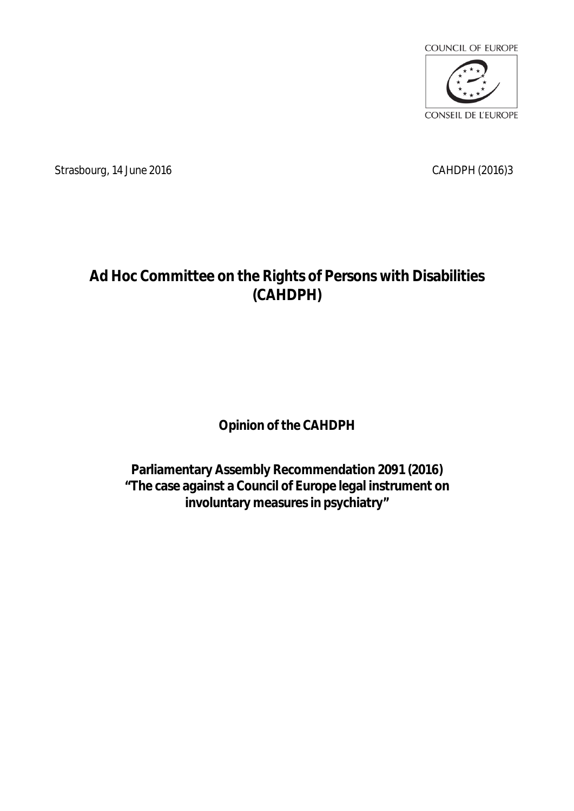

Strasbourg, 14 June 2016 CAHDPH (2016)3

## **Ad Hoc Committee on the Rights of Persons with Disabilities (CAHDPH)**

**Opinion of the CAHDPH** 

**Parliamentary Assembly Recommendation 2091 (2016) "The case against a Council of Europe legal instrument on involuntary measures in psychiatry"**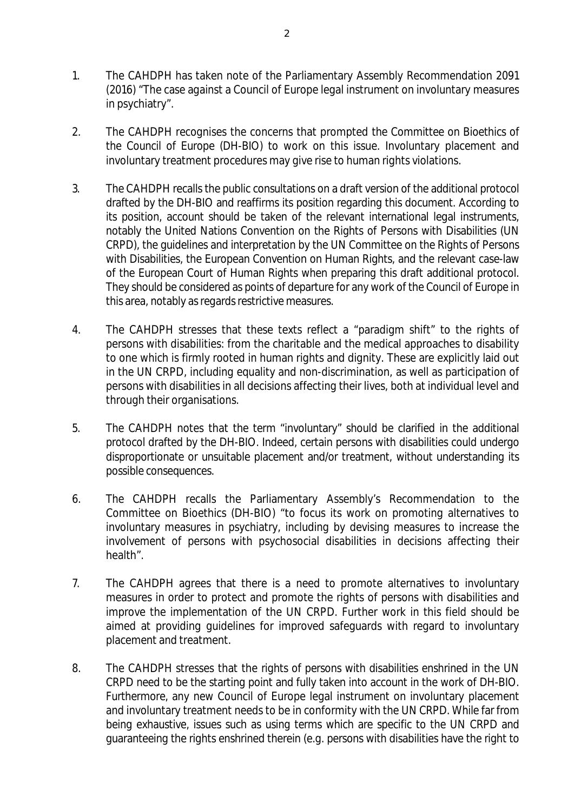- 1. The CAHDPH has taken note of the Parliamentary Assembly Recommendation 2091 (2016) "The case against a Council of Europe legal instrument on involuntary measures in psychiatry".
- 2. The CAHDPH recognises the concerns that prompted the Committee on Bioethics of the Council of Europe (DH-BIO) to work on this issue. Involuntary placement and involuntary treatment procedures may give rise to human rights violations.
- 3. The CAHDPH recalls the public consultations on a draft version of the additional protocol drafted by the DH-BIO and reaffirms its position regarding this document. According to its position, account should be taken of the relevant international legal instruments, notably the United Nations Convention on the Rights of Persons with Disabilities (UN CRPD), the guidelines and interpretation by the UN Committee on the Rights of Persons with Disabilities, the European Convention on Human Rights, and the relevant case-law of the European Court of Human Rights when preparing this draft additional protocol. They should be considered as points of departure for any work of the Council of Europe in this area, notably as regards restrictive measures.
- 4. The CAHDPH stresses that these texts reflect a "paradigm shift" to the rights of persons with disabilities: from the charitable and the medical approaches to disability to one which is firmly rooted in human rights and dignity. These are explicitly laid out in the UN CRPD, including equality and non-discrimination, as well as participation of persons with disabilities in all decisions affecting their lives, both at individual level and through their organisations.
- 5. The CAHDPH notes that the term "involuntary" should be clarified in the additional protocol drafted by the DH-BIO. Indeed, certain persons with disabilities could undergo disproportionate or unsuitable placement and/or treatment, without understanding its possible consequences.
- 6. The CAHDPH recalls the Parliamentary Assembly's Recommendation to the Committee on Bioethics (DH-BIO) "to focus its work on promoting alternatives to involuntary measures in psychiatry, including by devising measures to increase the involvement of persons with psychosocial disabilities in decisions affecting their health".
- 7. The CAHDPH agrees that there is a need to promote alternatives to involuntary measures in order to protect and promote the rights of persons with disabilities and improve the implementation of the UN CRPD. Further work in this field should be aimed at providing guidelines for improved safeguards with regard to involuntary placement and treatment.
- 8. The CAHDPH stresses that the rights of persons with disabilities enshrined in the UN CRPD need to be the starting point and fully taken into account in the work of DH-BIO. Furthermore, any new Council of Europe legal instrument on involuntary placement and involuntary treatment needs to be in conformity with the UN CRPD. While far from being exhaustive, issues such as using terms which are specific to the UN CRPD and guaranteeing the rights enshrined therein (e.g. persons with disabilities have the right to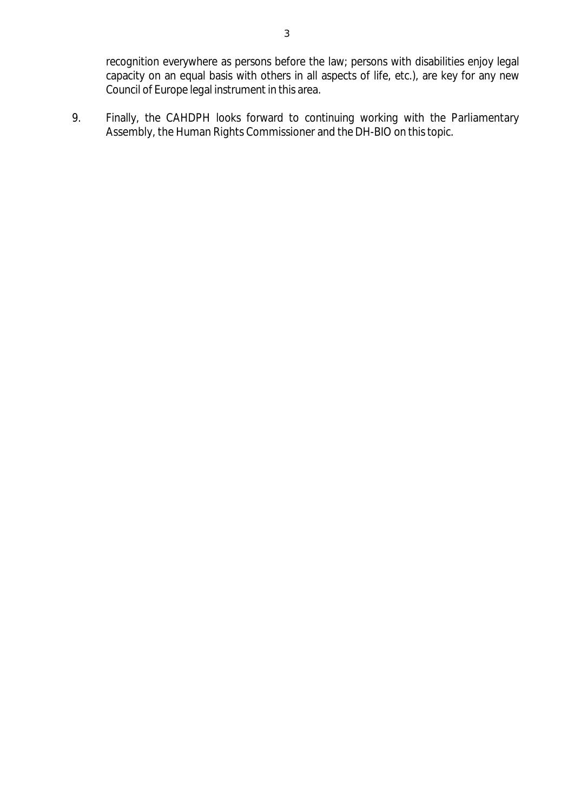recognition everywhere as persons before the law; persons with disabilities enjoy legal capacity on an equal basis with others in all aspects of life, etc.), are key for any new Council of Europe legal instrument in this area.

9. Finally, the CAHDPH looks forward to continuing working with the Parliamentary Assembly, the Human Rights Commissioner and the DH-BIO on this topic.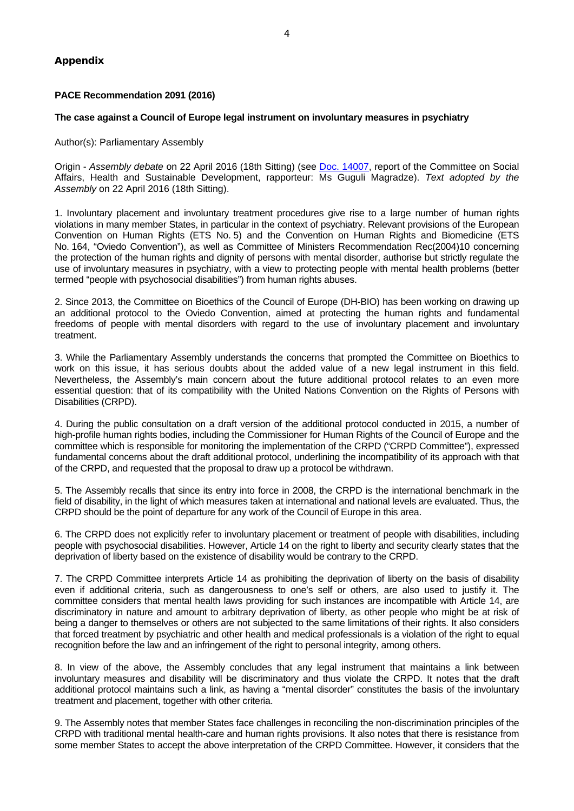## **PACE Recommendation 2091 (2016)**

## **The case against a Council of Europe legal instrument on involuntary measures in psychiatry**

Author(s): Parliamentary Assembly

Origin - *Assembly debate* on 22 April 2016 (18th Sitting) (see Doc. [14007,](http://assembly.coe.int/nw/xml/XRef/X2H-Xref-ViewHTML.asp?FileID=22575&lang=en) report of the Committee on Social Affairs, Health and Sustainable Development, rapporteur: Ms Guguli Magradze). *Text adopted by the Assembly* on 22 April 2016 (18th Sitting).

1. Involuntary placement and involuntary treatment procedures give rise to a large number of human rights violations in many member States, in particular in the context of psychiatry. Relevant provisions of the European Convention on Human Rights (ETS No. 5) and the Convention on Human Rights and Biomedicine (ETS No. 164, "Oviedo Convention"), as well as Committee of Ministers Recommendation Rec(2004)10 concerning the protection of the human rights and dignity of persons with mental disorder, authorise but strictly regulate the use of involuntary measures in psychiatry, with a view to protecting people with mental health problems (better termed "people with psychosocial disabilities") from human rights abuses.

2. Since 2013, the Committee on Bioethics of the Council of Europe (DH-BIO) has been working on drawing up an additional protocol to the Oviedo Convention, aimed at protecting the human rights and fundamental freedoms of people with mental disorders with regard to the use of involuntary placement and involuntary treatment.

3. While the Parliamentary Assembly understands the concerns that prompted the Committee on Bioethics to work on this issue, it has serious doubts about the added value of a new legal instrument in this field. Nevertheless, the Assembly's main concern about the future additional protocol relates to an even more essential question: that of its compatibility with the United Nations Convention on the Rights of Persons with Disabilities (CRPD).

4. During the public consultation on a draft version of the additional protocol conducted in 2015, a number of high-profile human rights bodies, including the Commissioner for Human Rights of the Council of Europe and the committee which is responsible for monitoring the implementation of the CRPD ("CRPD Committee"), expressed fundamental concerns about the draft additional protocol, underlining the incompatibility of its approach with that of the CRPD, and requested that the proposal to draw up a protocol be withdrawn.

5. The Assembly recalls that since its entry into force in 2008, the CRPD is the international benchmark in the field of disability, in the light of which measures taken at international and national levels are evaluated. Thus, the CRPD should be the point of departure for any work of the Council of Europe in this area.

6. The CRPD does not explicitly refer to involuntary placement or treatment of people with disabilities, including people with psychosocial disabilities. However, Article 14 on the right to liberty and security clearly states that the deprivation of liberty based on the existence of disability would be contrary to the CRPD.

7. The CRPD Committee interprets Article 14 as prohibiting the deprivation of liberty on the basis of disability even if additional criteria, such as dangerousness to one's self or others, are also used to justify it. The committee considers that mental health laws providing for such instances are incompatible with Article 14, are discriminatory in nature and amount to arbitrary deprivation of liberty, as other people who might be at risk of being a danger to themselves or others are not subjected to the same limitations of their rights. It also considers that forced treatment by psychiatric and other health and medical professionals is a violation of the right to equal recognition before the law and an infringement of the right to personal integrity, among others.

8. In view of the above, the Assembly concludes that any legal instrument that maintains a link between involuntary measures and disability will be discriminatory and thus violate the CRPD. It notes that the draft additional protocol maintains such a link, as having a "mental disorder" constitutes the basis of the involuntary treatment and placement, together with other criteria.

9. The Assembly notes that member States face challenges in reconciling the non-discrimination principles of the CRPD with traditional mental health-care and human rights provisions. It also notes that there is resistance from some member States to accept the above interpretation of the CRPD Committee. However, it considers that the